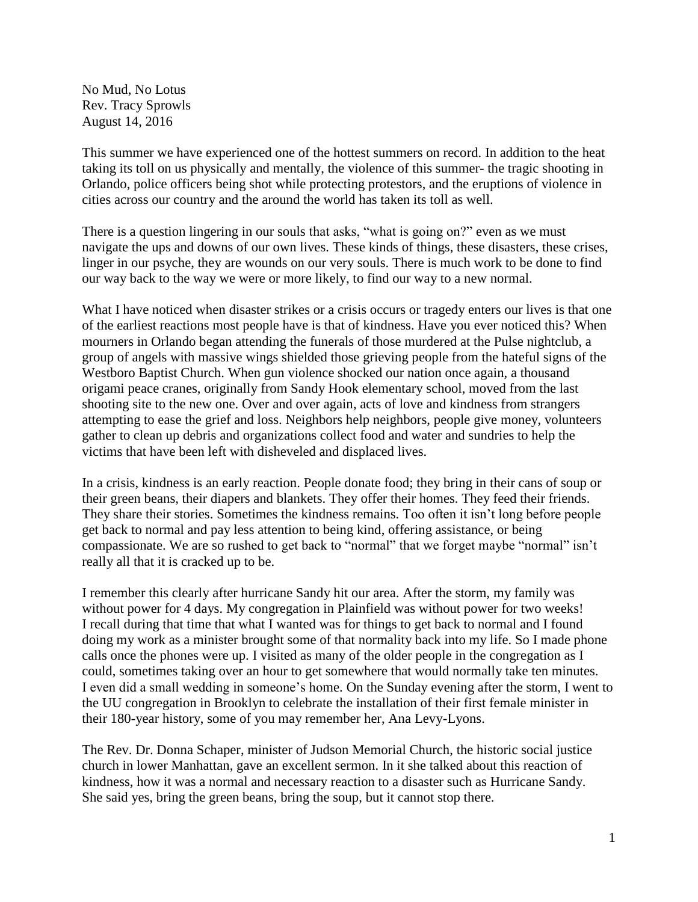No Mud, No Lotus Rev. Tracy Sprowls August 14, 2016

This summer we have experienced one of the hottest summers on record. In addition to the heat taking its toll on us physically and mentally, the violence of this summer- the tragic shooting in Orlando, police officers being shot while protecting protestors, and the eruptions of violence in cities across our country and the around the world has taken its toll as well.

There is a question lingering in our souls that asks, "what is going on?" even as we must navigate the ups and downs of our own lives. These kinds of things, these disasters, these crises, linger in our psyche, they are wounds on our very souls. There is much work to be done to find our way back to the way we were or more likely, to find our way to a new normal.

What I have noticed when disaster strikes or a crisis occurs or tragedy enters our lives is that one of the earliest reactions most people have is that of kindness. Have you ever noticed this? When mourners in Orlando began attending the funerals of those murdered at the Pulse nightclub, a group of angels with massive wings shielded those grieving people from the hateful signs of the Westboro Baptist Church. When gun violence shocked our nation once again, a thousand origami peace cranes, originally from Sandy Hook elementary school, moved from the last shooting site to the new one. Over and over again, acts of love and kindness from strangers attempting to ease the grief and loss. Neighbors help neighbors, people give money, volunteers gather to clean up debris and organizations collect food and water and sundries to help the victims that have been left with disheveled and displaced lives.

In a crisis, kindness is an early reaction. People donate food; they bring in their cans of soup or their green beans, their diapers and blankets. They offer their homes. They feed their friends. They share their stories. Sometimes the kindness remains. Too often it isn't long before people get back to normal and pay less attention to being kind, offering assistance, or being compassionate. We are so rushed to get back to "normal" that we forget maybe "normal" isn't really all that it is cracked up to be.

I remember this clearly after hurricane Sandy hit our area. After the storm, my family was without power for 4 days. My congregation in Plainfield was without power for two weeks! I recall during that time that what I wanted was for things to get back to normal and I found doing my work as a minister brought some of that normality back into my life. So I made phone calls once the phones were up. I visited as many of the older people in the congregation as I could, sometimes taking over an hour to get somewhere that would normally take ten minutes. I even did a small wedding in someone's home. On the Sunday evening after the storm, I went to the UU congregation in Brooklyn to celebrate the installation of their first female minister in their 180-year history, some of you may remember her, Ana Levy-Lyons.

The Rev. Dr. Donna Schaper, minister of Judson Memorial Church, the historic social justice church in lower Manhattan, gave an excellent sermon. In it she talked about this reaction of kindness, how it was a normal and necessary reaction to a disaster such as Hurricane Sandy. She said yes, bring the green beans, bring the soup, but it cannot stop there.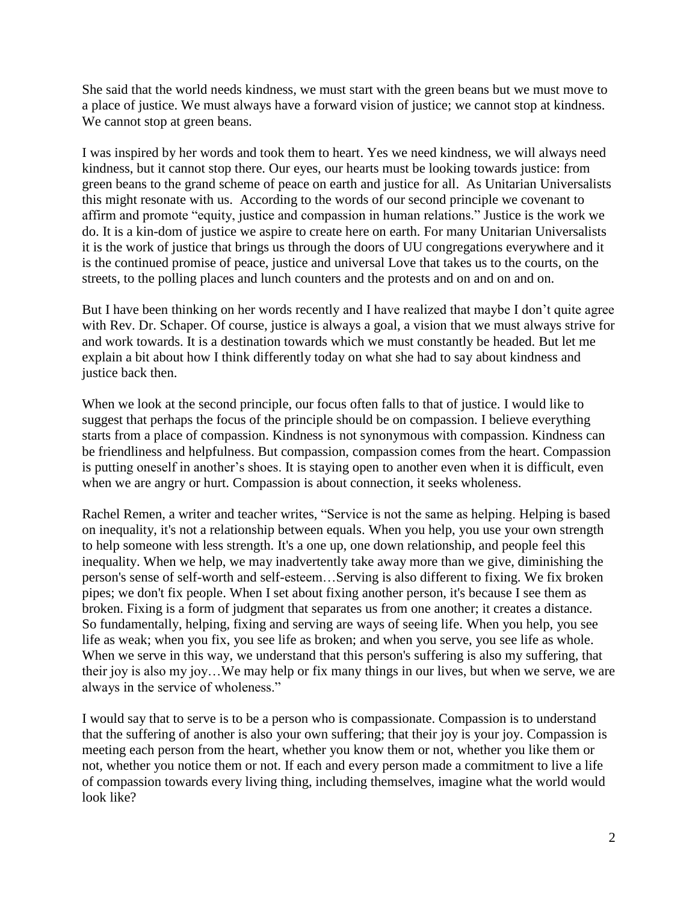She said that the world needs kindness, we must start with the green beans but we must move to a place of justice. We must always have a forward vision of justice; we cannot stop at kindness. We cannot stop at green beans.

I was inspired by her words and took them to heart. Yes we need kindness, we will always need kindness, but it cannot stop there. Our eyes, our hearts must be looking towards justice: from green beans to the grand scheme of peace on earth and justice for all. As Unitarian Universalists this might resonate with us. According to the words of our second principle we covenant to affirm and promote "equity, justice and compassion in human relations." Justice is the work we do. It is a kin-dom of justice we aspire to create here on earth. For many Unitarian Universalists it is the work of justice that brings us through the doors of UU congregations everywhere and it is the continued promise of peace, justice and universal Love that takes us to the courts, on the streets, to the polling places and lunch counters and the protests and on and on and on.

But I have been thinking on her words recently and I have realized that maybe I don't quite agree with Rev. Dr. Schaper. Of course, justice is always a goal, a vision that we must always strive for and work towards. It is a destination towards which we must constantly be headed. But let me explain a bit about how I think differently today on what she had to say about kindness and justice back then.

When we look at the second principle, our focus often falls to that of justice. I would like to suggest that perhaps the focus of the principle should be on compassion. I believe everything starts from a place of compassion. Kindness is not synonymous with compassion. Kindness can be friendliness and helpfulness. But compassion, compassion comes from the heart. Compassion is putting oneself in another's shoes. It is staying open to another even when it is difficult, even when we are angry or hurt. Compassion is about connection, it seeks wholeness.

Rachel Remen, a writer and teacher writes, "Service is not the same as helping. Helping is based on inequality, it's not a relationship between equals. When you help, you use your own strength to help someone with less strength. It's a one up, one down relationship, and people feel this inequality. When we help, we may inadvertently take away more than we give, diminishing the person's sense of self-worth and self-esteem…Serving is also different to fixing. We fix broken pipes; we don't fix people. When I set about fixing another person, it's because I see them as broken. Fixing is a form of judgment that separates us from one another; it creates a distance. So fundamentally, helping, fixing and serving are ways of seeing life. When you help, you see life as weak; when you fix, you see life as broken; and when you serve, you see life as whole. When we serve in this way, we understand that this person's suffering is also my suffering, that their joy is also my joy…We may help or fix many things in our lives, but when we serve, we are always in the service of wholeness."

I would say that to serve is to be a person who is compassionate. Compassion is to understand that the suffering of another is also your own suffering; that their joy is your joy. Compassion is meeting each person from the heart, whether you know them or not, whether you like them or not, whether you notice them or not. If each and every person made a commitment to live a life of compassion towards every living thing, including themselves, imagine what the world would look like?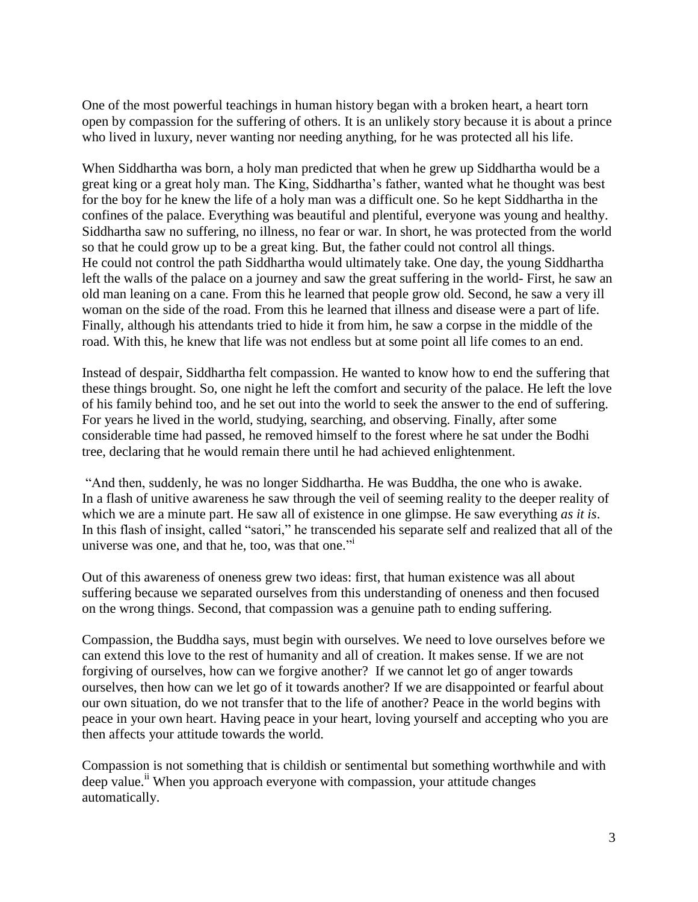One of the most powerful teachings in human history began with a broken heart, a heart torn open by compassion for the suffering of others. It is an unlikely story because it is about a prince who lived in luxury, never wanting nor needing anything, for he was protected all his life.

When Siddhartha was born, a holy man predicted that when he grew up Siddhartha would be a great king or a great holy man. The King, Siddhartha's father, wanted what he thought was best for the boy for he knew the life of a holy man was a difficult one. So he kept Siddhartha in the confines of the palace. Everything was beautiful and plentiful, everyone was young and healthy. Siddhartha saw no suffering, no illness, no fear or war. In short, he was protected from the world so that he could grow up to be a great king. But, the father could not control all things. He could not control the path Siddhartha would ultimately take. One day, the young Siddhartha left the walls of the palace on a journey and saw the great suffering in the world- First, he saw an old man leaning on a cane. From this he learned that people grow old. Second, he saw a very ill woman on the side of the road. From this he learned that illness and disease were a part of life. Finally, although his attendants tried to hide it from him, he saw a corpse in the middle of the road. With this, he knew that life was not endless but at some point all life comes to an end.

Instead of despair, Siddhartha felt compassion. He wanted to know how to end the suffering that these things brought. So, one night he left the comfort and security of the palace. He left the love of his family behind too, and he set out into the world to seek the answer to the end of suffering. For years he lived in the world, studying, searching, and observing. Finally, after some considerable time had passed, he removed himself to the forest where he sat under the Bodhi tree, declaring that he would remain there until he had achieved enlightenment.

"And then, suddenly, he was no longer Siddhartha. He was Buddha, the one who is awake. In a flash of unitive awareness he saw through the veil of seeming reality to the deeper reality of which we are a minute part. He saw all of existence in one glimpse. He saw everything *as it is*. In this flash of insight, called "satori," he transcended his separate self and realized that all of the universe was one, and that he, too, was that one."

Out of this awareness of oneness grew two ideas: first, that human existence was all about suffering because we separated ourselves from this understanding of oneness and then focused on the wrong things. Second, that compassion was a genuine path to ending suffering.

Compassion, the Buddha says, must begin with ourselves. We need to love ourselves before we can extend this love to the rest of humanity and all of creation. It makes sense. If we are not forgiving of ourselves, how can we forgive another? If we cannot let go of anger towards ourselves, then how can we let go of it towards another? If we are disappointed or fearful about our own situation, do we not transfer that to the life of another? Peace in the world begins with peace in your own heart. Having peace in your heart, loving yourself and accepting who you are then affects your attitude towards the world.

Compassion is not something that is childish or sentimental but something worthwhile and with deep value.<sup>ii</sup> When you approach everyone with compassion, your attitude changes automatically.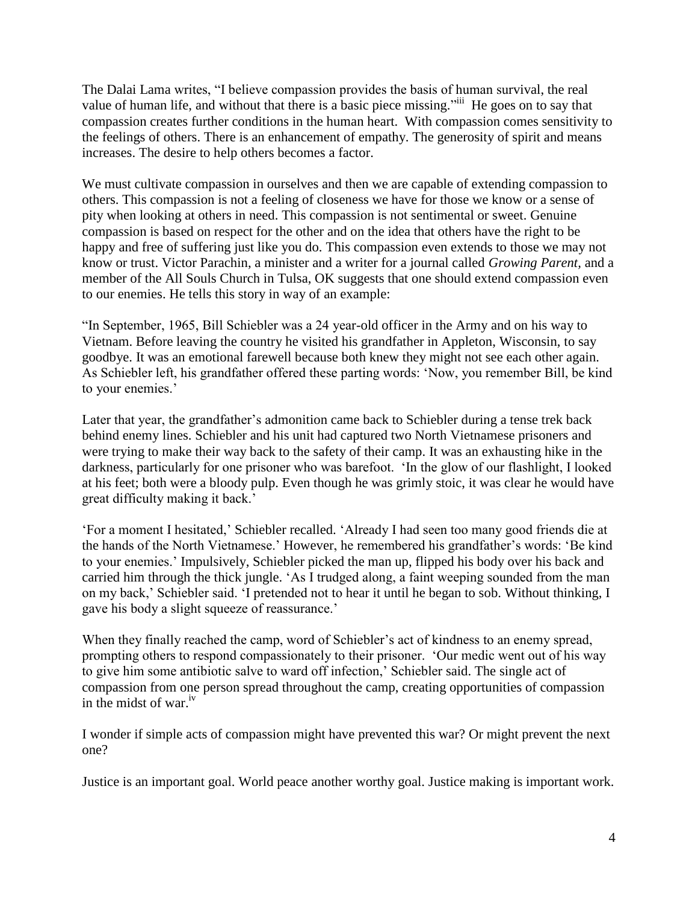The Dalai Lama writes, "I believe compassion provides the basis of human survival, the real value of human life, and without that there is a basic piece missing."<sup>iii</sup> He goes on to say that compassion creates further conditions in the human heart. With compassion comes sensitivity to the feelings of others. There is an enhancement of empathy. The generosity of spirit and means increases. The desire to help others becomes a factor.

We must cultivate compassion in ourselves and then we are capable of extending compassion to others. This compassion is not a feeling of closeness we have for those we know or a sense of pity when looking at others in need. This compassion is not sentimental or sweet. Genuine compassion is based on respect for the other and on the idea that others have the right to be happy and free of suffering just like you do. This compassion even extends to those we may not know or trust. Victor Parachin, a minister and a writer for a journal called *Growing Parent,* and a member of the All Souls Church in Tulsa, OK suggests that one should extend compassion even to our enemies. He tells this story in way of an example:

"In September, 1965, Bill Schiebler was a 24 year-old officer in the Army and on his way to Vietnam. Before leaving the country he visited his grandfather in Appleton, Wisconsin, to say goodbye. It was an emotional farewell because both knew they might not see each other again. As Schiebler left, his grandfather offered these parting words: 'Now, you remember Bill, be kind to your enemies.'

Later that year, the grandfather's admonition came back to Schiebler during a tense trek back behind enemy lines. Schiebler and his unit had captured two North Vietnamese prisoners and were trying to make their way back to the safety of their camp. It was an exhausting hike in the darkness, particularly for one prisoner who was barefoot. 'In the glow of our flashlight, I looked at his feet; both were a bloody pulp. Even though he was grimly stoic, it was clear he would have great difficulty making it back.'

'For a moment I hesitated,' Schiebler recalled. 'Already I had seen too many good friends die at the hands of the North Vietnamese.' However, he remembered his grandfather's words: 'Be kind to your enemies.' Impulsively, Schiebler picked the man up, flipped his body over his back and carried him through the thick jungle. 'As I trudged along, a faint weeping sounded from the man on my back,' Schiebler said. 'I pretended not to hear it until he began to sob. Without thinking, I gave his body a slight squeeze of reassurance.'

When they finally reached the camp, word of Schiebler's act of kindness to an enemy spread, prompting others to respond compassionately to their prisoner. 'Our medic went out of his way to give him some antibiotic salve to ward off infection,' Schiebler said. The single act of compassion from one person spread throughout the camp, creating opportunities of compassion in the midst of war. $iv$ 

I wonder if simple acts of compassion might have prevented this war? Or might prevent the next one?

Justice is an important goal. World peace another worthy goal. Justice making is important work.